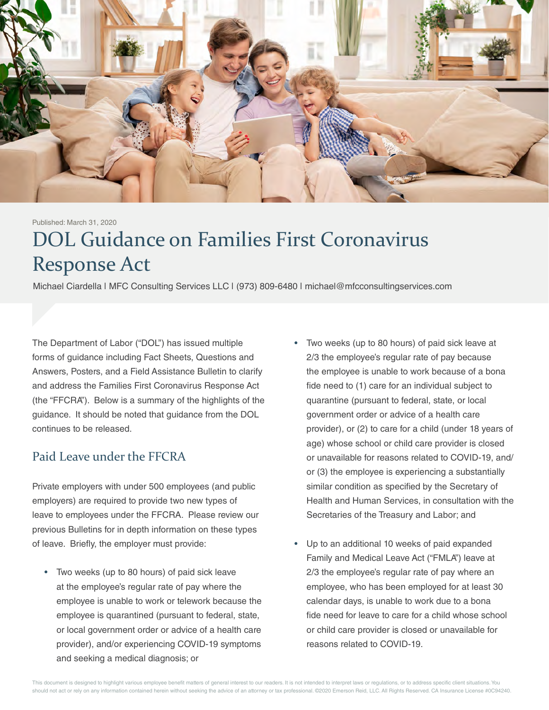

Published: March 31, 2020

# DOL Guidance on Families First Coronavirus Response Act

Michael Ciardella | MFC Consulting Services LLC | (973) 809-6480 | michael@mfcconsultingservices.com

The Department of Labor ("DOL") has issued multiple forms of guidance including Fact Sheets, Questions and Answers, Posters, and a Field Assistance Bulletin to clarify and address the Families First Coronavirus Response Act (the "FFCRA"). Below is a summary of the highlights of the guidance. It should be noted that guidance from the DOL continues to be released.

#### Paid Leave under the FFCRA

Private employers with under 500 employees (and public employers) are required to provide two new types of leave to employees under the FFCRA. Please review our previous Bulletins for in depth information on these types of leave. Briefly, the employer must provide:

- Two weeks (up to 80 hours) of paid sick leave at the employee's regular rate of pay where the employee is unable to work or telework because the employee is quarantined (pursuant to federal, state, or local government order or advice of a health care provider), and/or experiencing COVID-19 symptoms and seeking a medical diagnosis; or
- Two weeks (up to 80 hours) of paid sick leave at 2/3 the employee's regular rate of pay because the employee is unable to work because of a bona fide need to (1) care for an individual subject to quarantine (pursuant to federal, state, or local government order or advice of a health care provider), or (2) to care for a child (under 18 years of age) whose school or child care provider is closed or unavailable for reasons related to COVID-19, and/ or (3) the employee is experiencing a substantially similar condition as specified by the Secretary of Health and Human Services, in consultation with the Secretaries of the Treasury and Labor; and
- Up to an additional 10 weeks of paid expanded Family and Medical Leave Act ("FMLA") leave at 2/3 the employee's regular rate of pay where an employee, who has been employed for at least 30 calendar days, is unable to work due to a bona fide need for leave to care for a child whose school or child care provider is closed or unavailable for reasons related to COVID-19.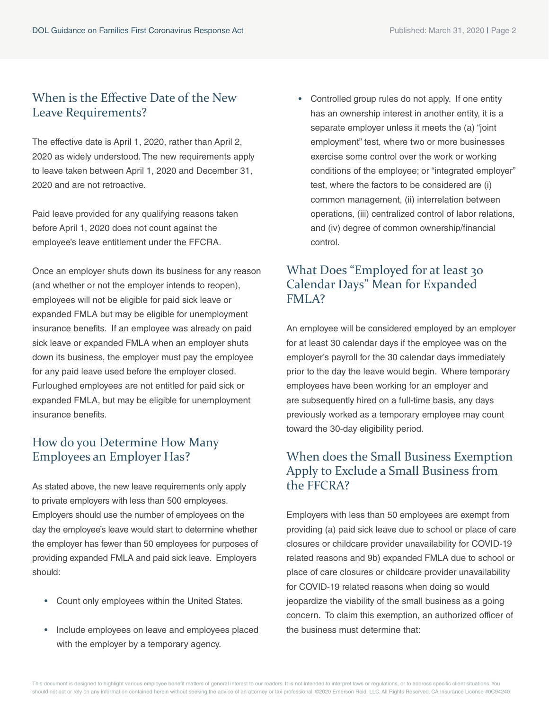#### When is the Effective Date of the New Leave Requirements?

The effective date is April 1, 2020, rather than April 2, 2020 as widely understood. The new requirements apply to leave taken between April 1, 2020 and December 31, 2020 and are not retroactive.

Paid leave provided for any qualifying reasons taken before April 1, 2020 does not count against the employee's leave entitlement under the FFCRA.

Once an employer shuts down its business for any reason (and whether or not the employer intends to reopen), employees will not be eligible for paid sick leave or expanded FMLA but may be eligible for unemployment insurance benefits. If an employee was already on paid sick leave or expanded FMLA when an employer shuts down its business, the employer must pay the employee for any paid leave used before the employer closed. Furloughed employees are not entitled for paid sick or expanded FMLA, but may be eligible for unemployment insurance benefits.

# How do you Determine How Many Employees an Employer Has?

As stated above, the new leave requirements only apply to private employers with less than 500 employees. Employers should use the number of employees on the day the employee's leave would start to determine whether the employer has fewer than 50 employees for purposes of providing expanded FMLA and paid sick leave. Employers should:

- Count only employees within the United States.
- Include employees on leave and employees placed with the employer by a temporary agency.

• Controlled group rules do not apply. If one entity has an ownership interest in another entity, it is a separate employer unless it meets the (a) "joint employment" test, where two or more businesses exercise some control over the work or working conditions of the employee; or "integrated employer" test, where the factors to be considered are (i) common management, (ii) interrelation between operations, (iii) centralized control of labor relations, and (iv) degree of common ownership/financial control.

# What Does "Employed for at least 30 Calendar Days" Mean for Expanded FMLA?

An employee will be considered employed by an employer for at least 30 calendar days if the employee was on the employer's payroll for the 30 calendar days immediately prior to the day the leave would begin. Where temporary employees have been working for an employer and are subsequently hired on a full-time basis, any days previously worked as a temporary employee may count toward the 30-day eligibility period.

# When does the Small Business Exemption Apply to Exclude a Small Business from the FFCRA?

Employers with less than 50 employees are exempt from providing (a) paid sick leave due to school or place of care closures or childcare provider unavailability for COVID-19 related reasons and 9b) expanded FMLA due to school or place of care closures or childcare provider unavailability for COVID-19 related reasons when doing so would jeopardize the viability of the small business as a going concern. To claim this exemption, an authorized officer of the business must determine that: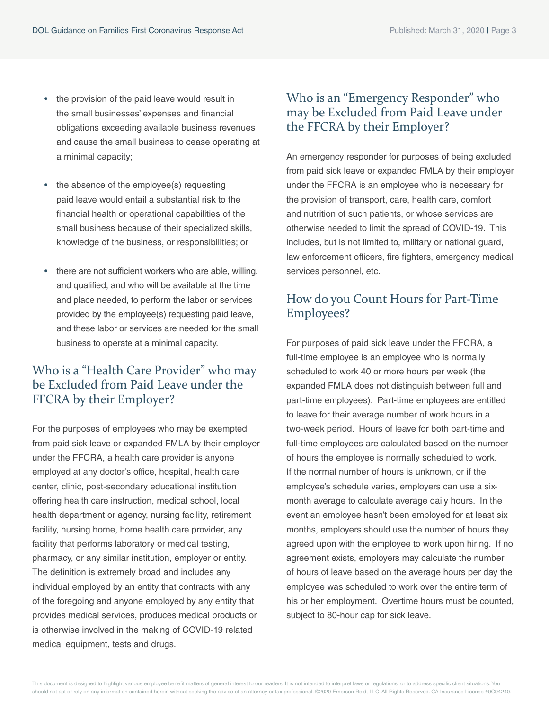- the provision of the paid leave would result in the small businesses' expenses and financial obligations exceeding available business revenues and cause the small business to cease operating at a minimal capacity;
- the absence of the employee(s) requesting paid leave would entail a substantial risk to the financial health or operational capabilities of the small business because of their specialized skills, knowledge of the business, or responsibilities; or
- there are not sufficient workers who are able, willing, and qualified, and who will be available at the time and place needed, to perform the labor or services provided by the employee(s) requesting paid leave, and these labor or services are needed for the small business to operate at a minimal capacity.

## Who is a "Health Care Provider" who may be Excluded from Paid Leave under the FFCRA by their Employer?

For the purposes of employees who may be exempted from paid sick leave or expanded FMLA by their employer under the FFCRA, a health care provider is anyone employed at any doctor's office, hospital, health care center, clinic, post-secondary educational institution offering health care instruction, medical school, local health department or agency, nursing facility, retirement facility, nursing home, home health care provider, any facility that performs laboratory or medical testing, pharmacy, or any similar institution, employer or entity. The definition is extremely broad and includes any individual employed by an entity that contracts with any of the foregoing and anyone employed by any entity that provides medical services, produces medical products or is otherwise involved in the making of COVID-19 related medical equipment, tests and drugs.

# Who is an "Emergency Responder" who may be Excluded from Paid Leave under the FFCRA by their Employer?

An emergency responder for purposes of being excluded from paid sick leave or expanded FMLA by their employer under the FFCRA is an employee who is necessary for the provision of transport, care, health care, comfort and nutrition of such patients, or whose services are otherwise needed to limit the spread of COVID-19. This includes, but is not limited to, military or national guard, law enforcement officers, fire fighters, emergency medical services personnel, etc.

# How do you Count Hours for Part-Time Employees?

For purposes of paid sick leave under the FFCRA, a full-time employee is an employee who is normally scheduled to work 40 or more hours per week (the expanded FMLA does not distinguish between full and part-time employees). Part-time employees are entitled to leave for their average number of work hours in a two-week period. Hours of leave for both part-time and full-time employees are calculated based on the number of hours the employee is normally scheduled to work. If the normal number of hours is unknown, or if the employee's schedule varies, employers can use a sixmonth average to calculate average daily hours. In the event an employee hasn't been employed for at least six months, employers should use the number of hours they agreed upon with the employee to work upon hiring. If no agreement exists, employers may calculate the number of hours of leave based on the average hours per day the employee was scheduled to work over the entire term of his or her employment. Overtime hours must be counted, subject to 80-hour cap for sick leave.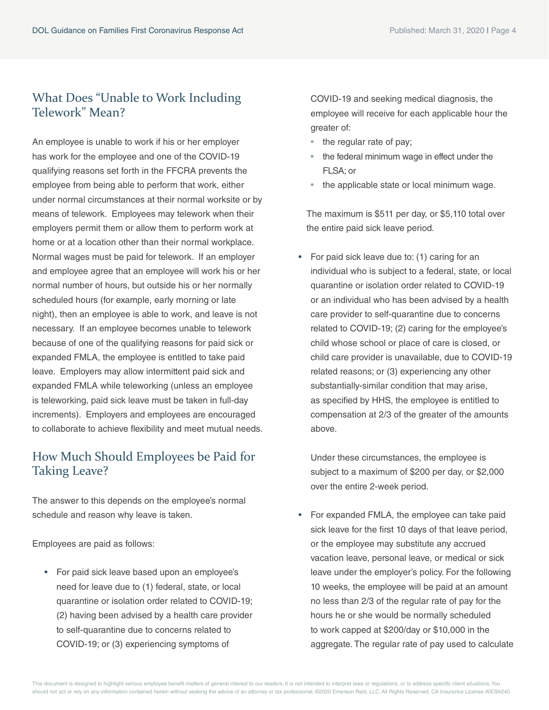## What Does "Unable to Work Including Telework" Mean?

An employee is unable to work if his or her employer has work for the employee and one of the COVID-19 qualifying reasons set forth in the FFCRA prevents the employee from being able to perform that work, either under normal circumstances at their normal worksite or by means of telework. Employees may telework when their employers permit them or allow them to perform work at home or at a location other than their normal workplace. Normal wages must be paid for telework. If an employer and employee agree that an employee will work his or her normal number of hours, but outside his or her normally scheduled hours (for example, early morning or late night), then an employee is able to work, and leave is not necessary. If an employee becomes unable to telework because of one of the qualifying reasons for paid sick or expanded FMLA, the employee is entitled to take paid leave. Employers may allow intermittent paid sick and expanded FMLA while teleworking (unless an employee is teleworking, paid sick leave must be taken in full-day increments). Employers and employees are encouraged to collaborate to achieve flexibility and meet mutual needs.

# How Much Should Employees be Paid for Taking Leave?

The answer to this depends on the employee's normal schedule and reason why leave is taken.

Employees are paid as follows:

• For paid sick leave based upon an employee's need for leave due to (1) federal, state, or local quarantine or isolation order related to COVID-19; (2) having been advised by a health care provider to self-quarantine due to concerns related to COVID-19; or (3) experiencing symptoms of

COVID-19 and seeking medical diagnosis, the employee will receive for each applicable hour the greater of:

- the regular rate of pay;
- the federal minimum wage in effect under the FLSA; or
- the applicable state or local minimum wage.

The maximum is \$511 per day, or \$5,110 total over the entire paid sick leave period.

• For paid sick leave due to: (1) caring for an individual who is subject to a federal, state, or local quarantine or isolation order related to COVID-19 or an individual who has been advised by a health care provider to self-quarantine due to concerns related to COVID-19; (2) caring for the employee's child whose school or place of care is closed, or child care provider is unavailable, due to COVID-19 related reasons; or (3) experiencing any other substantially-similar condition that may arise, as specified by HHS, the employee is entitled to compensation at 2/3 of the greater of the amounts above.

Under these circumstances, the employee is subject to a maximum of \$200 per day, or \$2,000 over the entire 2-week period.

• For expanded FMLA, the employee can take paid sick leave for the first 10 days of that leave period, or the employee may substitute any accrued vacation leave, personal leave, or medical or sick leave under the employer's policy. For the following 10 weeks, the employee will be paid at an amount no less than 2/3 of the regular rate of pay for the hours he or she would be normally scheduled to work capped at \$200/day or \$10,000 in the aggregate. The regular rate of pay used to calculate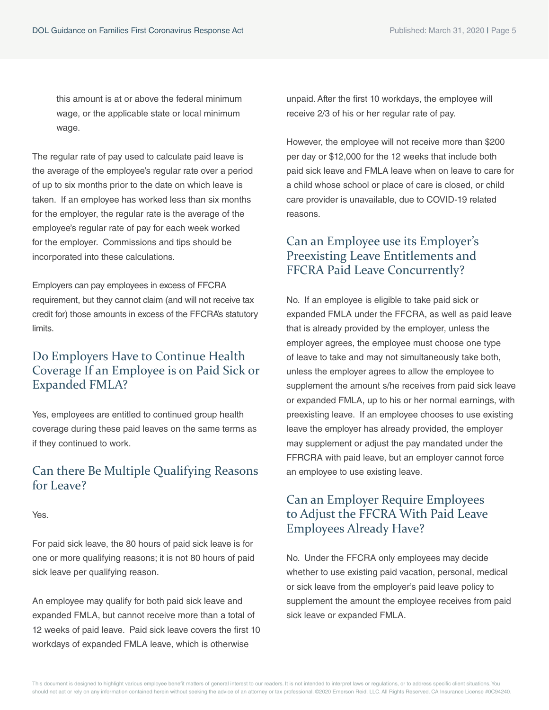this amount is at or above the federal minimum wage, or the applicable state or local minimum wage.

The regular rate of pay used to calculate paid leave is the average of the employee's regular rate over a period of up to six months prior to the date on which leave is taken. If an employee has worked less than six months for the employer, the regular rate is the average of the employee's regular rate of pay for each week worked for the employer. Commissions and tips should be incorporated into these calculations.

Employers can pay employees in excess of FFCRA requirement, but they cannot claim (and will not receive tax credit for) those amounts in excess of the FFCRA's statutory limits.

# Do Employers Have to Continue Health Coverage If an Employee is on Paid Sick or Expanded FMLA?

Yes, employees are entitled to continued group health coverage during these paid leaves on the same terms as if they continued to work.

#### Can there Be Multiple Qualifying Reasons for Leave?

Yes.

For paid sick leave, the 80 hours of paid sick leave is for one or more qualifying reasons; it is not 80 hours of paid sick leave per qualifying reason.

An employee may qualify for both paid sick leave and expanded FMLA, but cannot receive more than a total of 12 weeks of paid leave. Paid sick leave covers the first 10 workdays of expanded FMLA leave, which is otherwise

unpaid. After the first 10 workdays, the employee will receive 2/3 of his or her regular rate of pay.

However, the employee will not receive more than \$200 per day or \$12,000 for the 12 weeks that include both paid sick leave and FMLA leave when on leave to care for a child whose school or place of care is closed, or child care provider is unavailable, due to COVID-19 related reasons.

# Can an Employee use its Employer's Preexisting Leave Entitlements and FFCRA Paid Leave Concurrently?

No. If an employee is eligible to take paid sick or expanded FMLA under the FFCRA, as well as paid leave that is already provided by the employer, unless the employer agrees, the employee must choose one type of leave to take and may not simultaneously take both, unless the employer agrees to allow the employee to supplement the amount s/he receives from paid sick leave or expanded FMLA, up to his or her normal earnings, with preexisting leave. If an employee chooses to use existing leave the employer has already provided, the employer may supplement or adjust the pay mandated under the FFRCRA with paid leave, but an employer cannot force an employee to use existing leave.

# Can an Employer Require Employees to Adjust the FFCRA With Paid Leave Employees Already Have?

No. Under the FFCRA only employees may decide whether to use existing paid vacation, personal, medical or sick leave from the employer's paid leave policy to supplement the amount the employee receives from paid sick leave or expanded FMLA.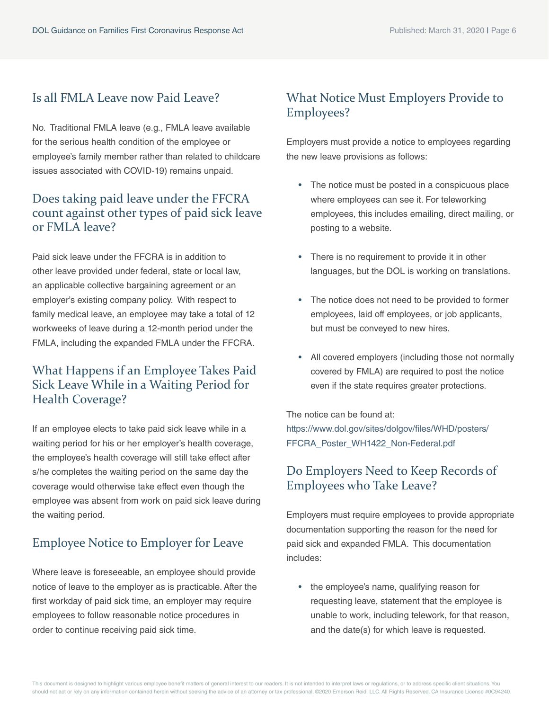# Is all FMLA Leave now Paid Leave?

No. Traditional FMLA leave (e.g., FMLA leave available for the serious health condition of the employee or employee's family member rather than related to childcare issues associated with COVID-19) remains unpaid.

# Does taking paid leave under the FFCRA count against other types of paid sick leave or FMLA leave?

Paid sick leave under the FFCRA is in addition to other leave provided under federal, state or local law, an applicable collective bargaining agreement or an employer's existing company policy. With respect to family medical leave, an employee may take a total of 12 workweeks of leave during a 12-month period under the FMLA, including the expanded FMLA under the FFCRA.

# What Happens if an Employee Takes Paid Sick Leave While in a Waiting Period for Health Coverage?

If an employee elects to take paid sick leave while in a waiting period for his or her employer's health coverage, the employee's health coverage will still take effect after s/he completes the waiting period on the same day the coverage would otherwise take effect even though the employee was absent from work on paid sick leave during the waiting period.

# Employee Notice to Employer for Leave

Where leave is foreseeable, an employee should provide notice of leave to the employer as is practicable. After the first workday of paid sick time, an employer may require employees to follow reasonable notice procedures in order to continue receiving paid sick time.

# What Notice Must Employers Provide to Employees?

Employers must provide a notice to employees regarding the new leave provisions as follows:

- The notice must be posted in a conspicuous place where employees can see it. For teleworking employees, this includes emailing, direct mailing, or posting to a website.
- There is no requirement to provide it in other languages, but the DOL is working on translations.
- The notice does not need to be provided to former employees, laid off employees, or job applicants, but must be conveyed to new hires.
- All covered employers (including those not normally covered by FMLA) are required to post the notice even if the state requires greater protections.

The notice can be found at: [https://www.dol.gov/sites/dolgov/files/WHD/posters/](https://www.dol.gov/sites/dolgov/files/WHD/posters/FFCRA_Poster_WH1422_Non-Federal.pdf) FFCRA\_Poster\_WH1422\_Non-Federal.pdf

# Do Employers Need to Keep Records of Employees who Take Leave?

Employers must require employees to provide appropriate documentation supporting the reason for the need for paid sick and expanded FMLA. This documentation includes:

• the employee's name, qualifying reason for requesting leave, statement that the employee is unable to work, including telework, for that reason, and the date(s) for which leave is requested.